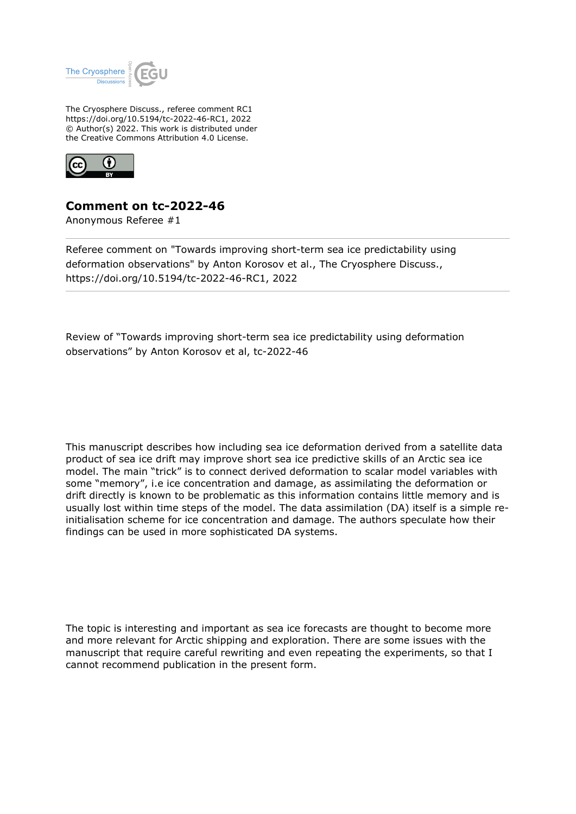

The Cryosphere Discuss., referee comment RC1 https://doi.org/10.5194/tc-2022-46-RC1, 2022 © Author(s) 2022. This work is distributed under the Creative Commons Attribution 4.0 License.



## **Comment on tc-2022-46**

Anonymous Referee #1

Referee comment on "Towards improving short-term sea ice predictability using deformation observations" by Anton Korosov et al., The Cryosphere Discuss., https://doi.org/10.5194/tc-2022-46-RC1, 2022

Review of "Towards improving short-term sea ice predictability using deformation observations" by Anton Korosov et al, tc-2022-46

This manuscript describes how including sea ice deformation derived from a satellite data product of sea ice drift may improve short sea ice predictive skills of an Arctic sea ice model. The main "trick" is to connect derived deformation to scalar model variables with some "memory", i.e ice concentration and damage, as assimilating the deformation or drift directly is known to be problematic as this information contains little memory and is usually lost within time steps of the model. The data assimilation (DA) itself is a simple reinitialisation scheme for ice concentration and damage. The authors speculate how their findings can be used in more sophisticated DA systems.

The topic is interesting and important as sea ice forecasts are thought to become more and more relevant for Arctic shipping and exploration. There are some issues with the manuscript that require careful rewriting and even repeating the experiments, so that I cannot recommend publication in the present form.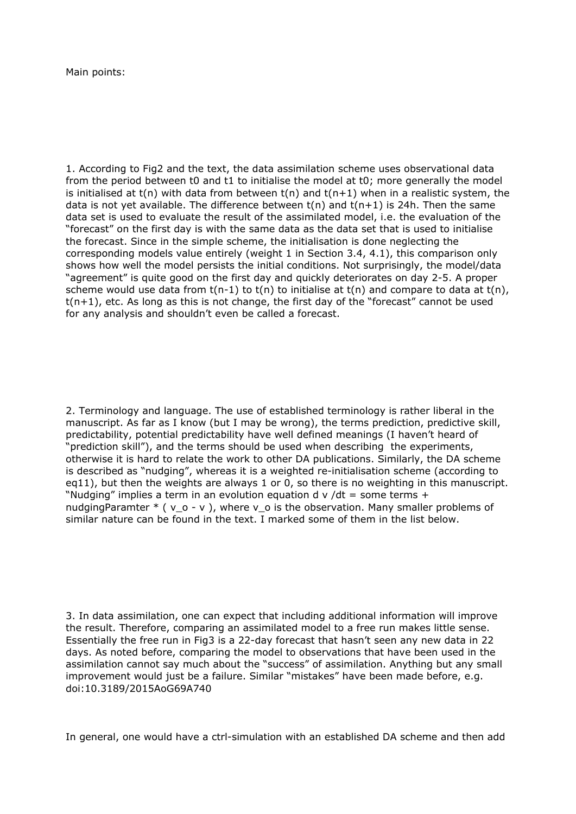Main points:

1. According to Fig2 and the text, the data assimilation scheme uses observational data from the period between t0 and t1 to initialise the model at t0; more generally the model is initialised at  $t(n)$  with data from between  $t(n)$  and  $t(n+1)$  when in a realistic system, the data is not yet available. The difference between  $t(n)$  and  $t(n+1)$  is 24h. Then the same data set is used to evaluate the result of the assimilated model, i.e. the evaluation of the "forecast" on the first day is with the same data as the data set that is used to initialise the forecast. Since in the simple scheme, the initialisation is done neglecting the corresponding models value entirely (weight 1 in Section 3.4, 4.1), this comparison only shows how well the model persists the initial conditions. Not surprisingly, the model/data "agreement" is quite good on the first day and quickly deteriorates on day 2-5. A proper scheme would use data from  $t(n-1)$  to  $t(n)$  to initialise at  $t(n)$  and compare to data at  $t(n)$ ,  $t(n+1)$ , etc. As long as this is not change, the first day of the "forecast" cannot be used for any analysis and shouldn't even be called a forecast.

2. Terminology and language. The use of established terminology is rather liberal in the manuscript. As far as I know (but I may be wrong), the terms prediction, predictive skill, predictability, potential predictability have well defined meanings (I haven't heard of "prediction skill"), and the terms should be used when describing the experiments, otherwise it is hard to relate the work to other DA publications. Similarly, the DA scheme is described as "nudging", whereas it is a weighted re-initialisation scheme (according to eq11), but then the weights are always 1 or 0, so there is no weighting in this manuscript. "Nudging" implies a term in an evolution equation d  $v/dt =$  some terms  $+$ nudgingParamter  $*(v_0 - v)$ , where  $v_0$  is the observation. Many smaller problems of similar nature can be found in the text. I marked some of them in the list below.

3. In data assimilation, one can expect that including additional information will improve the result. Therefore, comparing an assimilated model to a free run makes little sense. Essentially the free run in Fig3 is a 22-day forecast that hasn't seen any new data in 22 days. As noted before, comparing the model to observations that have been used in the assimilation cannot say much about the "success" of assimilation. Anything but any small improvement would just be a failure. Similar "mistakes" have been made before, e.g. doi:10.3189/2015AoG69A740

In general, one would have a ctrl-simulation with an established DA scheme and then add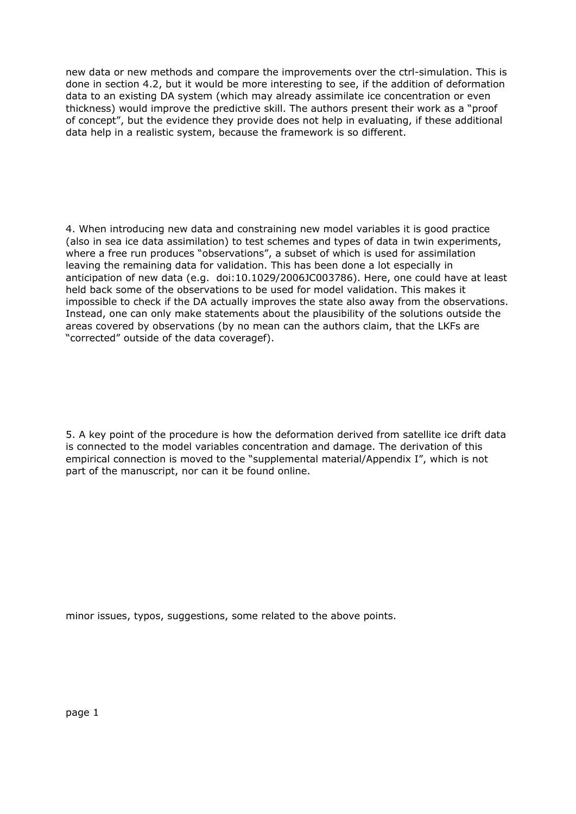new data or new methods and compare the improvements over the ctrl-simulation. This is done in section 4.2, but it would be more interesting to see, if the addition of deformation data to an existing DA system (which may already assimilate ice concentration or even thickness) would improve the predictive skill. The authors present their work as a "proof of concept", but the evidence they provide does not help in evaluating, if these additional data help in a realistic system, because the framework is so different.

4. When introducing new data and constraining new model variables it is good practice (also in sea ice data assimilation) to test schemes and types of data in twin experiments, where a free run produces "observations", a subset of which is used for assimilation leaving the remaining data for validation. This has been done a lot especially in anticipation of new data (e.g. doi:10.1029/2006JC003786). Here, one could have at least held back some of the observations to be used for model validation. This makes it impossible to check if the DA actually improves the state also away from the observations. Instead, one can only make statements about the plausibility of the solutions outside the areas covered by observations (by no mean can the authors claim, that the LKFs are "corrected" outside of the data coveragef).

5. A key point of the procedure is how the deformation derived from satellite ice drift data is connected to the model variables concentration and damage. The derivation of this empirical connection is moved to the "supplemental material/Appendix I", which is not part of the manuscript, nor can it be found online.

minor issues, typos, suggestions, some related to the above points.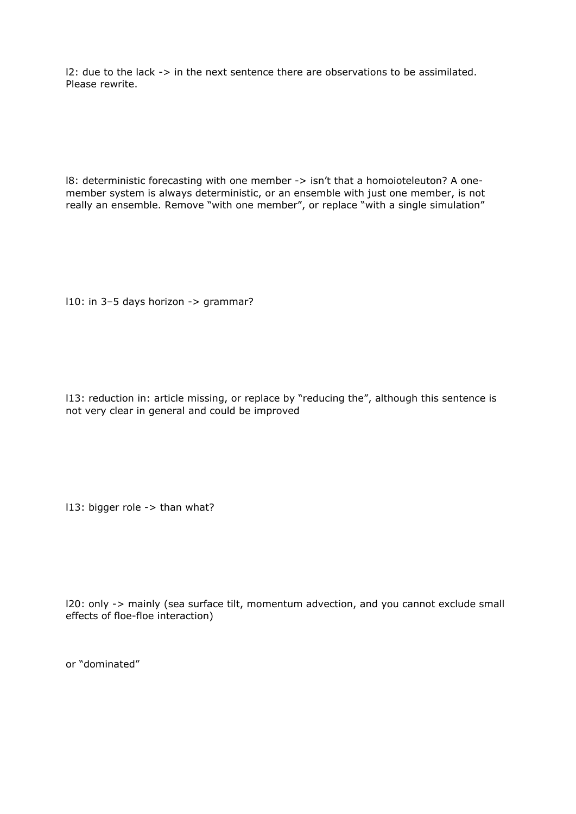l2: due to the lack -> in the next sentence there are observations to be assimilated. Please rewrite.

l8: deterministic forecasting with one member -> isn't that a homoioteleuton? A onemember system is always deterministic, or an ensemble with just one member, is not really an ensemble. Remove "with one member", or replace "with a single simulation"

l10: in 3–5 days horizon -> grammar?

l13: reduction in: article missing, or replace by "reducing the", although this sentence is not very clear in general and could be improved

l13: bigger role -> than what?

l20: only -> mainly (sea surface tilt, momentum advection, and you cannot exclude small effects of floe-floe interaction)

or "dominated"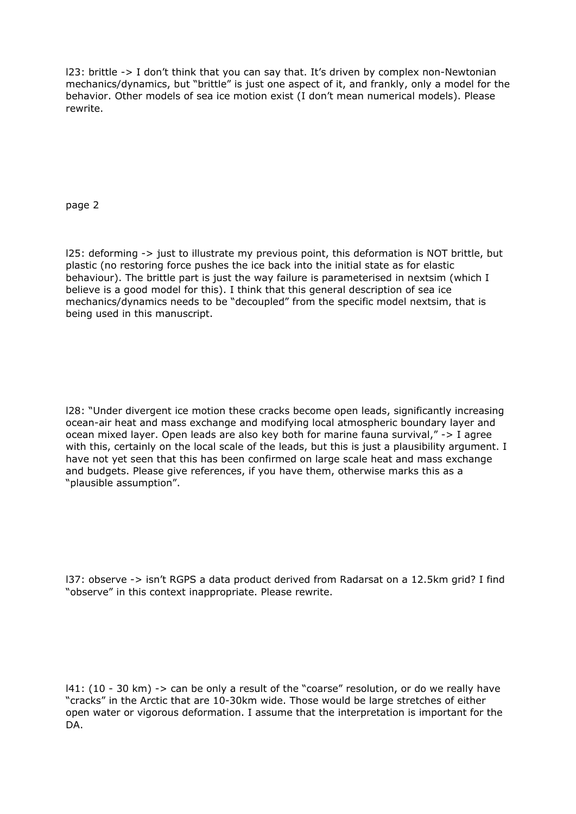l23: brittle -> I don't think that you can say that. It's driven by complex non-Newtonian mechanics/dynamics, but "brittle" is just one aspect of it, and frankly, only a model for the behavior. Other models of sea ice motion exist (I don't mean numerical models). Please rewrite.

page 2

l25: deforming -> just to illustrate my previous point, this deformation is NOT brittle, but plastic (no restoring force pushes the ice back into the initial state as for elastic behaviour). The brittle part is just the way failure is parameterised in nextsim (which I believe is a good model for this). I think that this general description of sea ice mechanics/dynamics needs to be "decoupled" from the specific model nextsim, that is being used in this manuscript.

l28: "Under divergent ice motion these cracks become open leads, significantly increasing ocean-air heat and mass exchange and modifying local atmospheric boundary layer and ocean mixed layer. Open leads are also key both for marine fauna survival," -> I agree with this, certainly on the local scale of the leads, but this is just a plausibility argument. I have not yet seen that this has been confirmed on large scale heat and mass exchange and budgets. Please give references, if you have them, otherwise marks this as a "plausible assumption".

l37: observe -> isn't RGPS a data product derived from Radarsat on a 12.5km grid? I find "observe" in this context inappropriate. Please rewrite.

l41: (10 - 30 km) -> can be only a result of the "coarse" resolution, or do we really have "cracks" in the Arctic that are 10-30km wide. Those would be large stretches of either open water or vigorous deformation. I assume that the interpretation is important for the DA.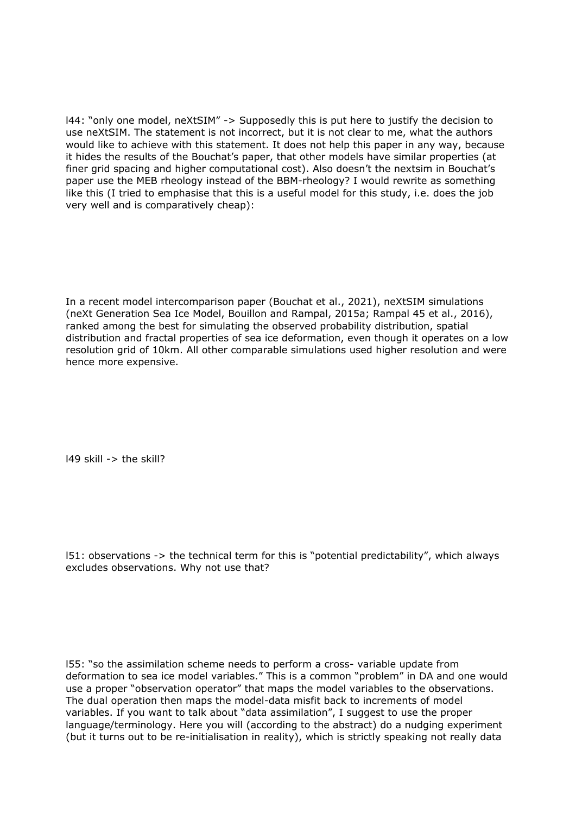l44: "only one model, neXtSIM" -> Supposedly this is put here to justify the decision to use neXtSIM. The statement is not incorrect, but it is not clear to me, what the authors would like to achieve with this statement. It does not help this paper in any way, because it hides the results of the Bouchat's paper, that other models have similar properties (at finer grid spacing and higher computational cost). Also doesn't the nextsim in Bouchat's paper use the MEB rheology instead of the BBM-rheology? I would rewrite as something like this (I tried to emphasise that this is a useful model for this study, i.e. does the job very well and is comparatively cheap):

In a recent model intercomparison paper (Bouchat et al., 2021), neXtSIM simulations (neXt Generation Sea Ice Model, Bouillon and Rampal, 2015a; Rampal 45 et al., 2016), ranked among the best for simulating the observed probability distribution, spatial distribution and fractal properties of sea ice deformation, even though it operates on a low resolution grid of 10km. All other comparable simulations used higher resolution and were hence more expensive.

l49 skill -> the skill?

l51: observations -> the technical term for this is "potential predictability", which always excludes observations. Why not use that?

l55: "so the assimilation scheme needs to perform a cross- variable update from deformation to sea ice model variables." This is a common "problem" in DA and one would use a proper "observation operator" that maps the model variables to the observations. The dual operation then maps the model-data misfit back to increments of model variables. If you want to talk about "data assimilation", I suggest to use the proper language/terminology. Here you will (according to the abstract) do a nudging experiment (but it turns out to be re-initialisation in reality), which is strictly speaking not really data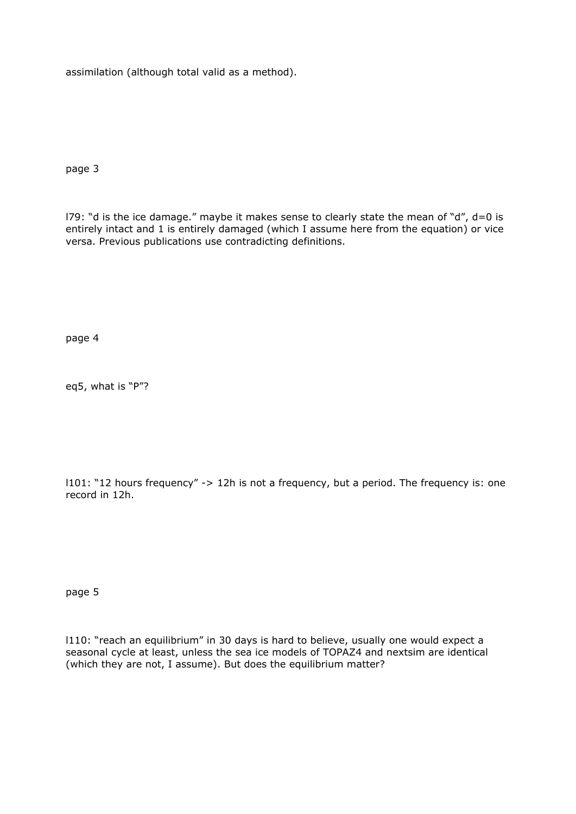assimilation (although total valid as a method).

page 3

179: "d is the ice damage." maybe it makes sense to clearly state the mean of "d",  $d=0$  is entirely intact and 1 is entirely damaged (which I assume here from the equation) or vice versa. Previous publications use contradicting definitions.

page 4

eq5, what is "P"?

l101: "12 hours frequency" -> 12h is not a frequency, but a period. The frequency is: one record in 12h.

page 5

l110: "reach an equilibrium" in 30 days is hard to believe, usually one would expect a seasonal cycle at least, unless the sea ice models of TOPAZ4 and nextsim are identical (which they are not, I assume). But does the equilibrium matter?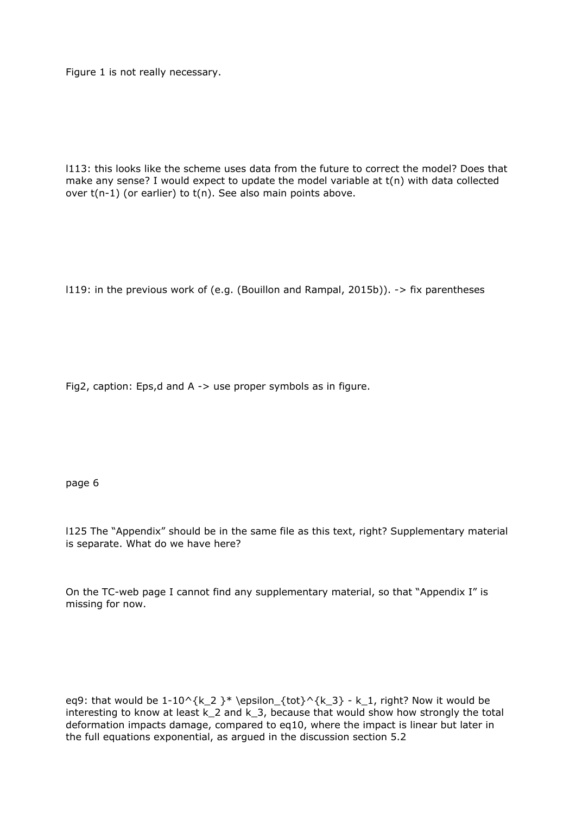Figure 1 is not really necessary.

l113: this looks like the scheme uses data from the future to correct the model? Does that make any sense? I would expect to update the model variable at t(n) with data collected over  $t(n-1)$  (or earlier) to  $t(n)$ . See also main points above.

l119: in the previous work of (e.g. (Bouillon and Rampal, 2015b)). -> fix parentheses

Fig2, caption: Eps,d and A -> use proper symbols as in figure.

page 6

l125 The "Appendix" should be in the same file as this text, right? Supplementary material is separate. What do we have here?

On the TC-web page I cannot find any supplementary material, so that "Appendix I" is missing for now.

eq9: that would be  $1-10^{\k-2 } * \epsilon_{tot}^{k-3} - k_1$ , right? Now it would be interesting to know at least k\_2 and k\_3, because that would show how strongly the total deformation impacts damage, compared to eq10, where the impact is linear but later in the full equations exponential, as argued in the discussion section 5.2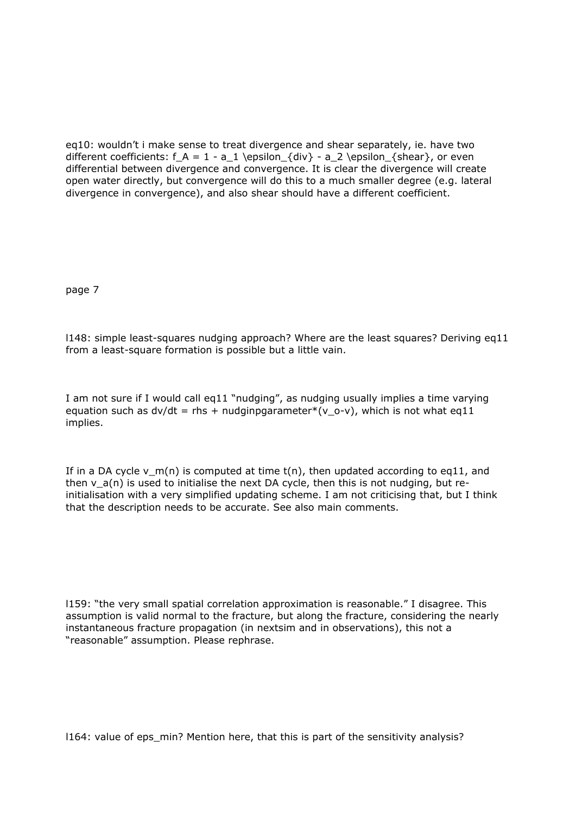eq10: wouldn't i make sense to treat divergence and shear separately, ie. have two different coefficients:  $f_A = 1 - a_1 \epsilon_{div} - a_2 \epsilon_{shear}$ , or even differential between divergence and convergence. It is clear the divergence will create open water directly, but convergence will do this to a much smaller degree (e.g. lateral divergence in convergence), and also shear should have a different coefficient.

page 7

l148: simple least-squares nudging approach? Where are the least squares? Deriving eq11 from a least-square formation is possible but a little vain.

I am not sure if I would call eq11 "nudging", as nudging usually implies a time varying equation such as  $dv/dt = r$ hs + nudginpgarameter\*(v o-v), which is not what eq11 implies.

If in a DA cycle v  $m(n)$  is computed at time  $t(n)$ , then updated according to eq11, and then  $v_a(n)$  is used to initialise the next DA cycle, then this is not nudging, but reinitialisation with a very simplified updating scheme. I am not criticising that, but I think that the description needs to be accurate. See also main comments.

l159: "the very small spatial correlation approximation is reasonable." I disagree. This assumption is valid normal to the fracture, but along the fracture, considering the nearly instantaneous fracture propagation (in nextsim and in observations), this not a "reasonable" assumption. Please rephrase.

l164: value of eps\_min? Mention here, that this is part of the sensitivity analysis?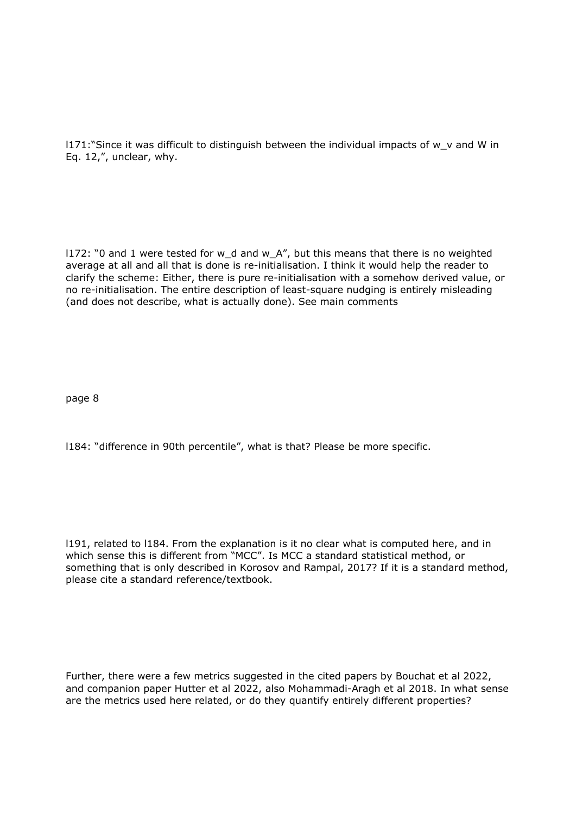l171:"Since it was difficult to distinguish between the individual impacts of w\_v and W in Eq. 12,", unclear, why.

l172: "0 and 1 were tested for w\_d and w\_A", but this means that there is no weighted average at all and all that is done is re-initialisation. I think it would help the reader to clarify the scheme: Either, there is pure re-initialisation with a somehow derived value, or no re-initialisation. The entire description of least-square nudging is entirely misleading (and does not describe, what is actually done). See main comments

page 8

l184: "difference in 90th percentile", what is that? Please be more specific.

l191, related to l184. From the explanation is it no clear what is computed here, and in which sense this is different from "MCC". Is MCC a standard statistical method, or something that is only described in Korosov and Rampal, 2017? If it is a standard method, please cite a standard reference/textbook.

Further, there were a few metrics suggested in the cited papers by Bouchat et al 2022, and companion paper Hutter et al 2022, also Mohammadi-Aragh et al 2018. In what sense are the metrics used here related, or do they quantify entirely different properties?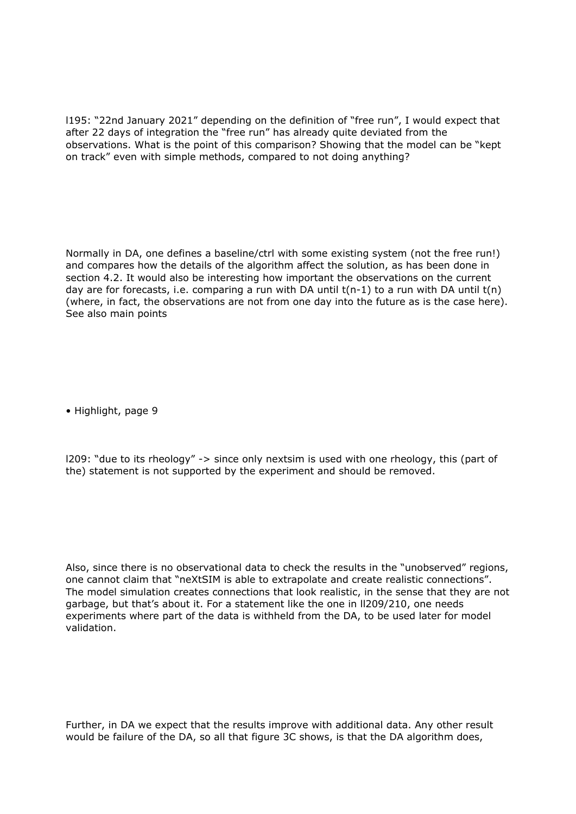l195: "22nd January 2021" depending on the definition of "free run", I would expect that after 22 days of integration the "free run" has already quite deviated from the observations. What is the point of this comparison? Showing that the model can be "kept on track" even with simple methods, compared to not doing anything?

Normally in DA, one defines a baseline/ctrl with some existing system (not the free run!) and compares how the details of the algorithm affect the solution, as has been done in section 4.2. It would also be interesting how important the observations on the current day are for forecasts, i.e. comparing a run with DA until  $t(n-1)$  to a run with DA until  $t(n)$ (where, in fact, the observations are not from one day into the future as is the case here). See also main points

• Highlight, page 9

l209: "due to its rheology" -> since only nextsim is used with one rheology, this (part of the) statement is not supported by the experiment and should be removed.

Also, since there is no observational data to check the results in the "unobserved" regions, one cannot claim that "neXtSIM is able to extrapolate and create realistic connections". The model simulation creates connections that look realistic, in the sense that they are not garbage, but that's about it. For a statement like the one in ll209/210, one needs experiments where part of the data is withheld from the DA, to be used later for model validation.

Further, in DA we expect that the results improve with additional data. Any other result would be failure of the DA, so all that figure 3C shows, is that the DA algorithm does,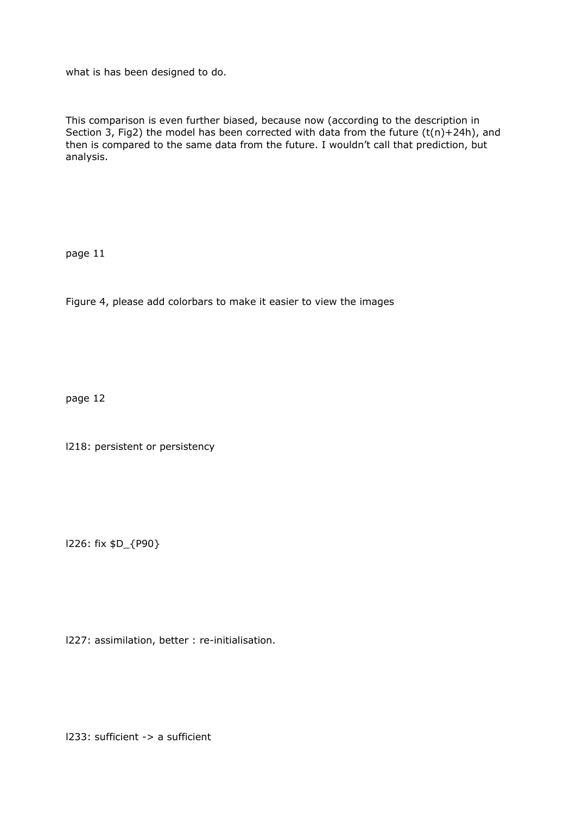what is has been designed to do.

This comparison is even further biased, because now (according to the description in Section 3, Fig2) the model has been corrected with data from the future (t(n)+24h), and then is compared to the same data from the future. I wouldn't call that prediction, but analysis.

page 11

Figure 4, please add colorbars to make it easier to view the images

page 12

l218: persistent or persistency

l226: fix \$D\_{P90}

l227: assimilation, better : re-initialisation.

l233: sufficient -> a sufficient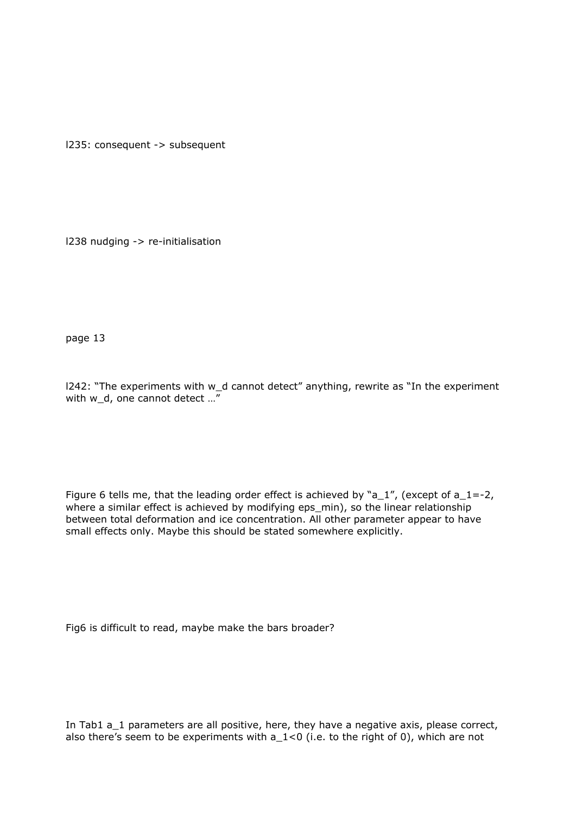l235: consequent -> subsequent

l238 nudging -> re-initialisation

page 13

l242: "The experiments with w\_d cannot detect" anything, rewrite as "In the experiment with w d, one cannot detect ..."

Figure 6 tells me, that the leading order effect is achieved by "a\_1", (except of a\_1=-2, where a similar effect is achieved by modifying eps\_min), so the linear relationship between total deformation and ice concentration. All other parameter appear to have small effects only. Maybe this should be stated somewhere explicitly.

Fig6 is difficult to read, maybe make the bars broader?

In Tab1 a\_1 parameters are all positive, here, they have a negative axis, please correct, also there's seem to be experiments with a  $1<0$  (i.e. to the right of 0), which are not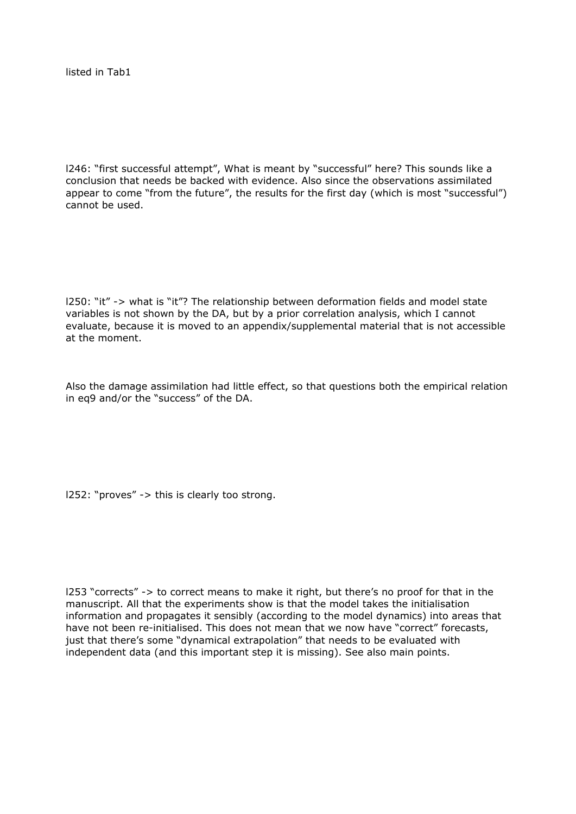listed in Tab1

l246: "first successful attempt", What is meant by "successful" here? This sounds like a conclusion that needs be backed with evidence. Also since the observations assimilated appear to come "from the future", the results for the first day (which is most "successful") cannot be used.

l250: "it" -> what is "it"? The relationship between deformation fields and model state variables is not shown by the DA, but by a prior correlation analysis, which I cannot evaluate, because it is moved to an appendix/supplemental material that is not accessible at the moment.

Also the damage assimilation had little effect, so that questions both the empirical relation in eq9 and/or the "success" of the DA.

l252: "proves" -> this is clearly too strong.

l253 "corrects" -> to correct means to make it right, but there's no proof for that in the manuscript. All that the experiments show is that the model takes the initialisation information and propagates it sensibly (according to the model dynamics) into areas that have not been re-initialised. This does not mean that we now have "correct" forecasts, just that there's some "dynamical extrapolation" that needs to be evaluated with independent data (and this important step it is missing). See also main points.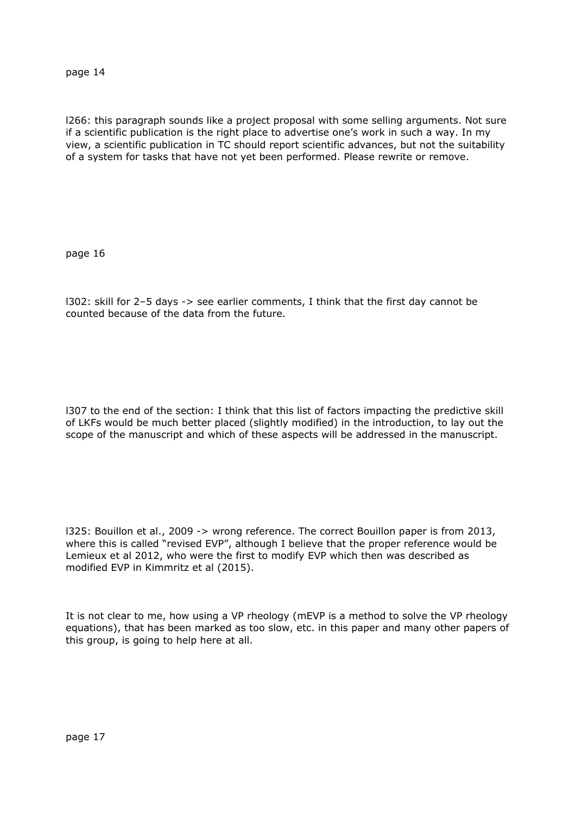l266: this paragraph sounds like a project proposal with some selling arguments. Not sure if a scientific publication is the right place to advertise one's work in such a way. In my view, a scientific publication in TC should report scientific advances, but not the suitability of a system for tasks that have not yet been performed. Please rewrite or remove.

page 16

l302: skill for 2–5 days -> see earlier comments, I think that the first day cannot be counted because of the data from the future.

l307 to the end of the section: I think that this list of factors impacting the predictive skill of LKFs would be much better placed (slightly modified) in the introduction, to lay out the scope of the manuscript and which of these aspects will be addressed in the manuscript.

l325: Bouillon et al., 2009 -> wrong reference. The correct Bouillon paper is from 2013, where this is called "revised EVP", although I believe that the proper reference would be Lemieux et al 2012, who were the first to modify EVP which then was described as modified EVP in Kimmritz et al (2015).

It is not clear to me, how using a VP rheology (mEVP is a method to solve the VP rheology equations), that has been marked as too slow, etc. in this paper and many other papers of this group, is going to help here at all.